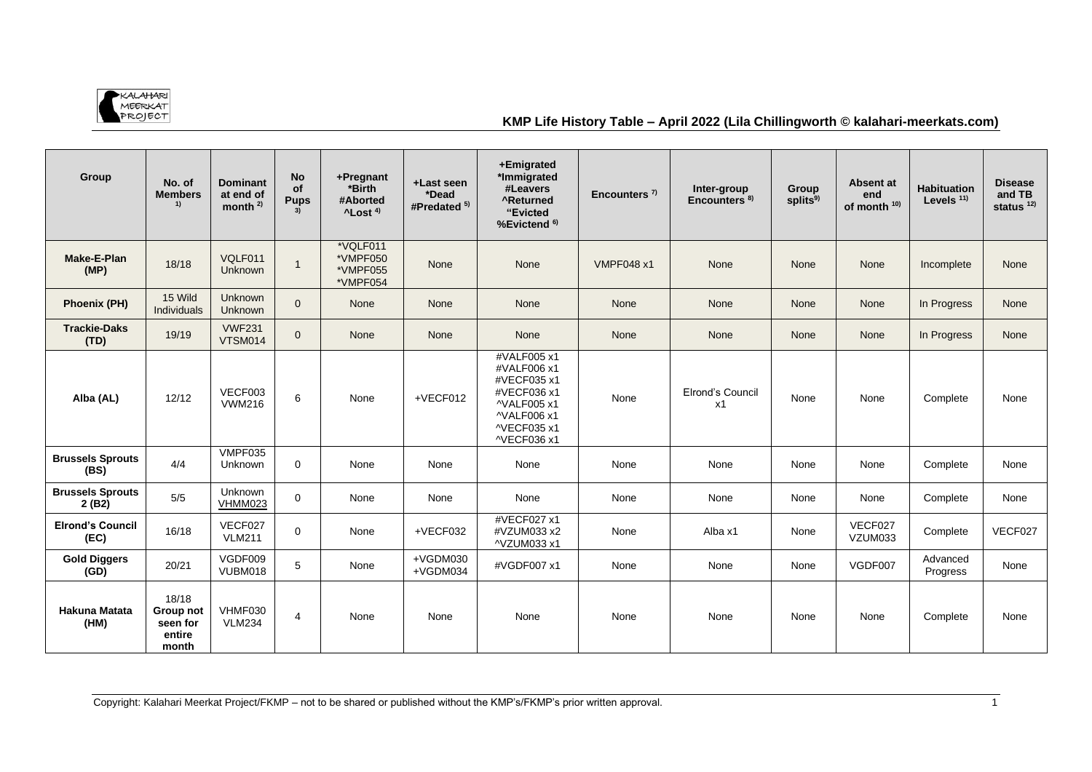

## **KMP Life History Table – April 2022 (Lila Chillingworth © kalahari-meerkats.com)**

| Group                            | No. of<br><b>Members</b><br>1)                    | <b>Dominant</b><br>at end of<br>month $2$ | <b>No</b><br>of<br><b>Pups</b> | +Pregnant<br>*Birth<br>#Aborted<br>$^4$ Lost <sup>4)</sup> | +Last seen<br>*Dead<br>#Predated <sup>5)</sup> | +Emigrated<br>*Immigrated<br>#Leavers<br><b>^Returned</b><br>"Evicted<br>%Evictend <sup>6)</sup>                     | Encounters $7$    | Inter-group<br>Encounters <sup>8)</sup> | Group<br>splits <sup>9)</sup> | Absent at<br>end<br>of month <sup>10)</sup> | <b>Habituation</b><br>Levels $11$ ) | <b>Disease</b><br>and TB<br>status $12$ |
|----------------------------------|---------------------------------------------------|-------------------------------------------|--------------------------------|------------------------------------------------------------|------------------------------------------------|----------------------------------------------------------------------------------------------------------------------|-------------------|-----------------------------------------|-------------------------------|---------------------------------------------|-------------------------------------|-----------------------------------------|
| <b>Make-E-Plan</b><br>(MP)       | 18/18                                             | VQLF011<br><b>Unknown</b>                 | $\mathbf{1}$                   | *VQLF011<br>*VMPF050<br>*VMPF055<br>*VMPF054               | None                                           | None                                                                                                                 | <b>VMPF048 x1</b> | None                                    | None                          | None                                        | Incomplete                          | <b>None</b>                             |
| Phoenix (PH)                     | 15 Wild<br><b>Individuals</b>                     | Unknown<br>Unknown                        | $\Omega$                       | None                                                       | None                                           | <b>None</b>                                                                                                          | None              | <b>None</b>                             | None                          | None                                        | In Progress                         | <b>None</b>                             |
| <b>Trackie-Daks</b><br>(TD)      | 19/19                                             | <b>VWF231</b><br>VTSM014                  | $\overline{0}$                 | None                                                       | None                                           | <b>None</b>                                                                                                          | None              | None                                    | None                          | None                                        | In Progress                         | None                                    |
| Alba (AL)                        | 12/12                                             | VECF003<br><b>VWM216</b>                  | 6                              | None                                                       | +VECF012                                       | #VALF005 x1<br>#VALF006 x1<br>#VECF035 x1<br>#VECF036 x1<br>^VALF005 x1<br>^VALF006 x1<br>^VECF035 x1<br>^VECF036 x1 | None              | Elrond's Council<br>x1                  | None                          | None                                        | Complete                            | None                                    |
| <b>Brussels Sprouts</b><br>(BS)  | 4/4                                               | VMPF035<br><b>Unknown</b>                 | $\Omega$                       | None                                                       | None                                           | None                                                                                                                 | None              | None                                    | None                          | None                                        | Complete                            | None                                    |
| <b>Brussels Sprouts</b><br>2(B2) | 5/5                                               | Unknown<br>VHMM023                        | $\mathbf 0$                    | None                                                       | None                                           | None                                                                                                                 | None              | None                                    | None                          | None                                        | Complete                            | None                                    |
| <b>Elrond's Council</b><br>(EC)  | 16/18                                             | VECF027<br><b>VLM211</b>                  | $\mathbf 0$                    | None                                                       | +VECF032                                       | #VECF027 x1<br>#VZUM033 x2<br>^VZUM033 x1                                                                            | None              | Alba x1                                 | None                          | VECF027<br>VZUM033                          | Complete                            | VECF027                                 |
| <b>Gold Diggers</b><br>(GD)      | 20/21                                             | VGDF009<br>VUBM018                        | 5                              | None                                                       | +VGDM030<br>+VGDM034                           | #VGDF007 x1                                                                                                          | None              | None                                    | None                          | VGDF007                                     | Advanced<br>Progress                | None                                    |
| <b>Hakuna Matata</b><br>(HM)     | 18/18<br>Group not<br>seen for<br>entire<br>month | VHMF030<br><b>VLM234</b>                  | 4                              | None                                                       | None                                           | None                                                                                                                 | None              | None                                    | None                          | None                                        | Complete                            | None                                    |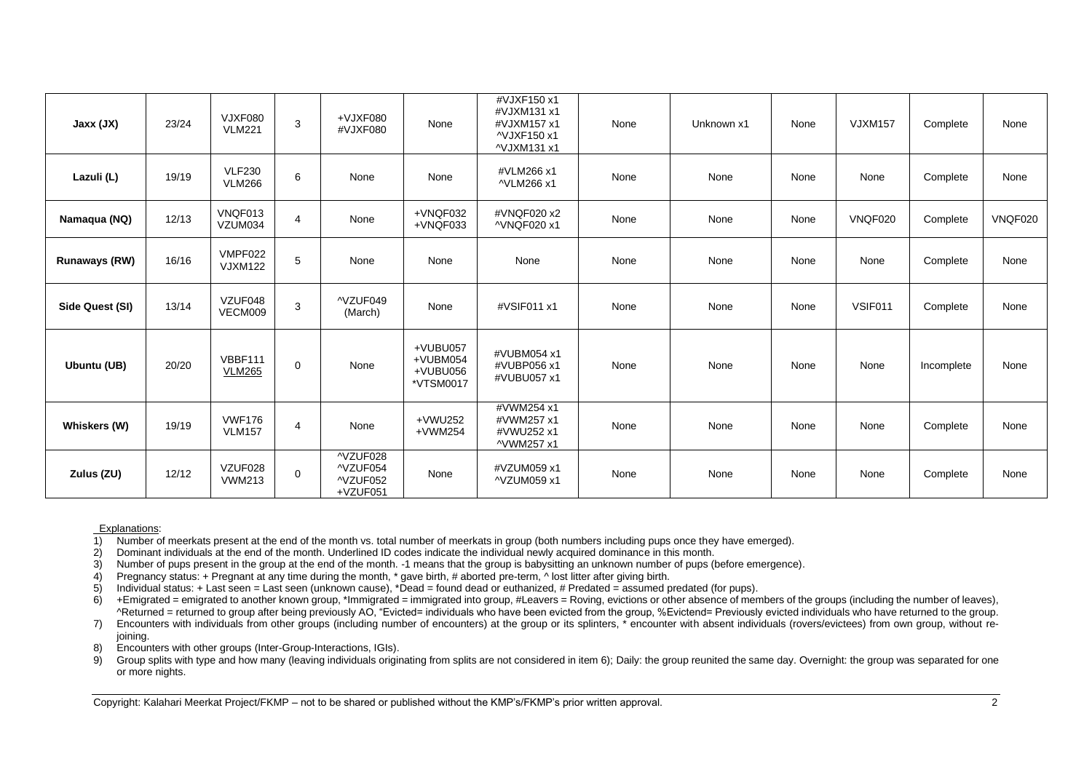| Jaxx (JX)            | 23/24 | VJXF080<br><b>VLM221</b>        | 3 | +VJXF080<br>#VJXF080                         | None                                          | #VJXF150 x1<br>#VJXM131 x1<br>#VJXM157 x1<br>^VJXF150 x1<br>^VJXM131 x1 | None | Unknown x1 | None | <b>VJXM157</b> | Complete   | None    |
|----------------------|-------|---------------------------------|---|----------------------------------------------|-----------------------------------------------|-------------------------------------------------------------------------|------|------------|------|----------------|------------|---------|
| Lazuli (L)           | 19/19 | <b>VLF230</b><br><b>VLM266</b>  | 6 | None                                         | None                                          | #VLM266 x1<br>^VLM266 x1                                                | None | None       | None | None           | Complete   | None    |
| Namaqua (NQ)         | 12/13 | VNQF013<br>VZUM034              | 4 | None                                         | +VNQF032<br>+VNQF033                          | #VNQF020 x2<br>^VNQF020 x1                                              | None | None       | None | <b>VNQF020</b> | Complete   | VNQF020 |
| <b>Runaways (RW)</b> | 16/16 | VMPF022<br><b>VJXM122</b>       | 5 | None                                         | None                                          | None                                                                    | None | None       | None | None           | Complete   | None    |
| Side Quest (SI)      | 13/14 | VZUF048<br>VECM009              | 3 | ^VZUF049<br>(March)                          | None                                          | #VSIF011 x1                                                             | None | None       | None | VSIF011        | Complete   | None    |
| Ubuntu (UB)          | 20/20 | <b>VBBF111</b><br><b>VLM265</b> | 0 | None                                         | +VUBU057<br>+VUBM054<br>+VUBU056<br>*VTSM0017 | #VUBM054 x1<br>#VUBP056 x1<br>#VUBU057 x1                               | None | None       | None | None           | Incomplete | None    |
| Whiskers (W)         | 19/19 | <b>VWF176</b><br><b>VLM157</b>  | 4 | None                                         | +VWU252<br>$+VWM254$                          | #VWM254 x1<br>#VWM257 x1<br>#VWU252 x1<br>^VWM257 x1                    | None | None       | None | None           | Complete   | None    |
| Zulus (ZU)           | 12/12 | VZUF028<br><b>VWM213</b>        | 0 | ^VZUF028<br>^VZUF054<br>^VZUF052<br>+VZUF051 | None                                          | #VZUM059 x1<br>^VZUM059 x1                                              | None | None       | None | None           | Complete   | None    |

Explanations:<br>1) Number of 1) Number of meerkats present at the end of the month vs. total number of meerkats in group (both numbers including pups once they have emerged).<br>2) Dominant individuals at the end of the month. Underlined ID codes indicat

2) Dominant individuals at the end of the month. Underlined ID codes indicate the individual newly acquired dominance in this month.<br>3) Number of pups present in the group at the end of the month. -1 means that the group i

3) Number of pups present in the group at the end of the month. -1 means that the group is babysitting an unknown number of pups (before emergence).

4) Pregnancy status: + Pregnant at any time during the month, \* gave birth, # aborted pre-term, ^ lost litter after giving birth.<br>4) Individual status: + Last seen = Last seen (unknown cause), \*Dead = found dead or euthani

5) Individual status: + Last seen = Last seen (unknown cause), \*Dead = found dead or euthanized, # Predated = assumed predated (for pups).<br>6) + Emigrated = emigrated to another known group, \*Immigrated = immigrated into gr

6) +Emigrated = emigrated to another known group, \*Immigrated = immigrated into group, #Leavers = Roving, evictions or other absence of members of the groups (including the number of leaves), ^Returned = returned to group after being previously AO, "Evicted= individuals who have been evicted from the group, %Evictend= Previously evicted individuals who have returned to the group.

7) Encounters with individuals from other groups (including number of encounters) at the group or its splinters, \* encounter with absent individuals (rovers/evictees) from own group, without rejoining.

8) Encounters with other groups (Inter-Group-Interactions, IGIs).

9) Group splits with type and how many (leaving individuals originating from splits are not considered in item 6); Daily: the group reunited the same day. Overnight: the group was separated for one or more nights.

Copyright: Kalahari Meerkat Project/FKMP – not to be shared or published without the KMP's/FKMP's prior written approval. 2